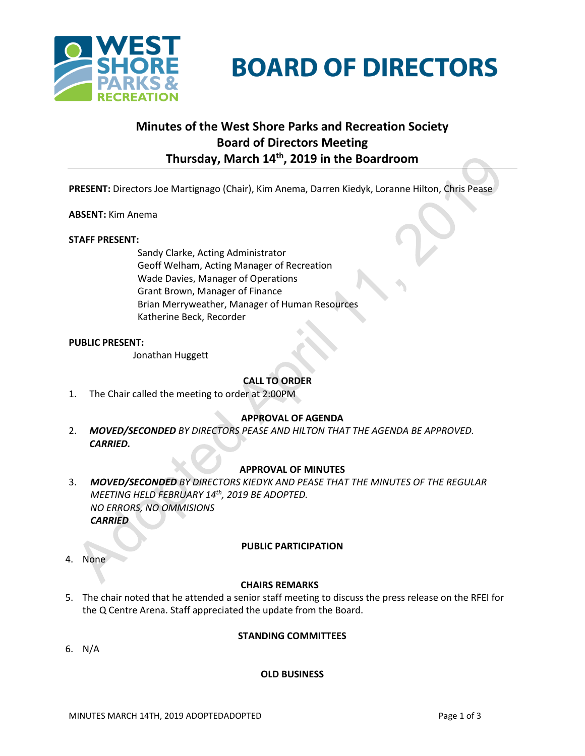

# **BOARD OF DIRECTORS**

# **Minutes of the West Shore Parks and Recreation Society Board of Directors Meeting Thursday, March 14th, 2019 in the Boardroom**

**PRESENT:** Directors Joe Martignago (Chair), Kim Anema, Darren Kiedyk, Loranne Hilton, Chris Pease

#### **ABSENT:** Kim Anema

#### **STAFF PRESENT:**

Sandy Clarke, Acting Administrator Geoff Welham, Acting Manager of Recreation Wade Davies, Manager of Operations Grant Brown, Manager of Finance Brian Merryweather, Manager of Human Resources Katherine Beck, Recorder

#### **PUBLIC PRESENT:**

Jonathan Huggett

# **CALL TO ORDER**

1. The Chair called the meeting to order at 2:00PM

# **APPROVAL OF AGENDA**

2. *MOVED/SECONDED BY DIRECTORS PEASE AND HILTON THAT THE AGENDA BE APPROVED. CARRIED.*

# **APPROVAL OF MINUTES**

3. *MOVED/SECONDED BY DIRECTORS KIEDYK AND PEASE THAT THE MINUTES OF THE REGULAR MEETING HELD FEBRUARY 14th, 2019 BE ADOPTED. NO ERRORS, NO OMMISIONS CARRIED*

#### **PUBLIC PARTICIPATION**

4. None

#### **CHAIRS REMARKS**

- 5. The chair noted that he attended a senior staff meeting to discuss the press release on the RFEI for the Q Centre Arena. Staff appreciated the update from the Board.
- 6. N/A

# **STANDING COMMITTEES**

# **OLD BUSINESS**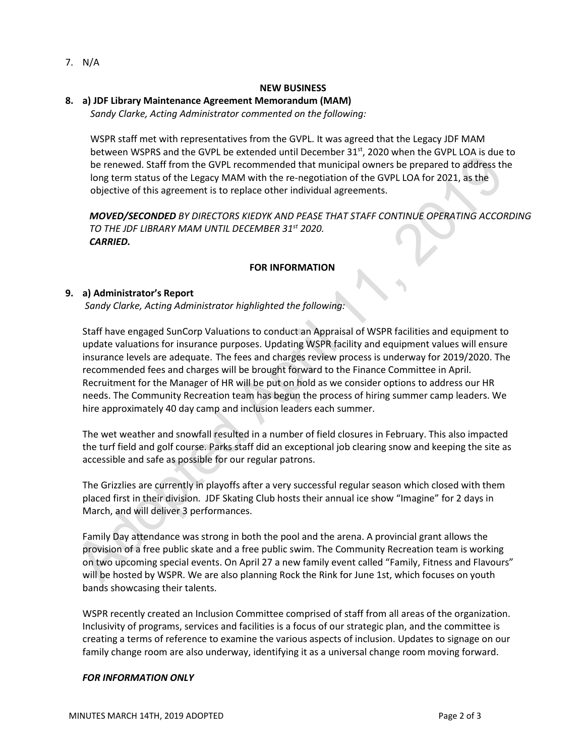7. N/A

#### **NEW BUSINESS**

# **8. a) JDF Library Maintenance Agreement Memorandum (MAM)**

*Sandy Clarke, Acting Administrator commented on the following:*

WSPR staff met with representatives from the GVPL. It was agreed that the Legacy JDF MAM between WSPRS and the GVPL be extended until December 31st, 2020 when the GVPL LOA is due to be renewed. Staff from the GVPL recommended that municipal owners be prepared to address the long term status of the Legacy MAM with the re-negotiation of the GVPL LOA for 2021, as the objective of this agreement is to replace other individual agreements.

*MOVED/SECONDED BY DIRECTORS KIEDYK AND PEASE THAT STAFF CONTINUE OPERATING ACCORDING TO THE JDF LIBRARY MAM UNTIL DECEMBER 31st 2020. CARRIED.*

# **FOR INFORMATION**

# **9. a) Administrator's Report**

*Sandy Clarke, Acting Administrator highlighted the following:*

Staff have engaged SunCorp Valuations to conduct an Appraisal of WSPR facilities and equipment to update valuations for insurance purposes. Updating WSPR facility and equipment values will ensure insurance levels are adequate. The fees and charges review process is underway for 2019/2020. The recommended fees and charges will be brought forward to the Finance Committee in April. Recruitment for the Manager of HR will be put on hold as we consider options to address our HR needs. The Community Recreation team has begun the process of hiring summer camp leaders. We hire approximately 40 day camp and inclusion leaders each summer.

The wet weather and snowfall resulted in a number of field closures in February. This also impacted the turf field and golf course. Parks staff did an exceptional job clearing snow and keeping the site as accessible and safe as possible for our regular patrons.

The Grizzlies are currently in playoffs after a very successful regular season which closed with them placed first in their division. JDF Skating Club hosts their annual ice show "Imagine" for 2 days in March, and will deliver 3 performances.

Family Day attendance was strong in both the pool and the arena. A provincial grant allows the provision of a free public skate and a free public swim. The Community Recreation team is working on two upcoming special events. On April 27 a new family event called "Family, Fitness and Flavours" will be hosted by WSPR. We are also planning Rock the Rink for June 1st, which focuses on youth bands showcasing their talents.

WSPR recently created an Inclusion Committee comprised of staff from all areas of the organization. Inclusivity of programs, services and facilities is a focus of our strategic plan, and the committee is creating a terms of reference to examine the various aspects of inclusion. Updates to signage on our family change room are also underway, identifying it as a universal change room moving forward.

#### *FOR INFORMATION ONLY*